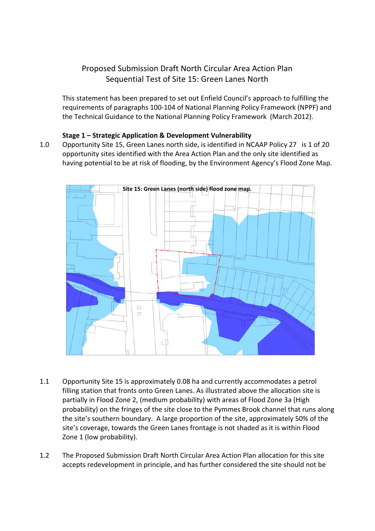# Proposed Submission Draft North Circular Area Action Plan Sequential Test of Site 15: Green Lanes North

This statement has been prepared to set out Enfield Council's approach to fulfilling the requirements of paragraphs 100‐104 of National Planning Policy Framework (NPPF) and the Technical Guidance to the National Planning Policy Framework (March 2012).

## **Stage 1 – Strategic Application & Development Vulnerability**

1.0 Opportunity Site 15, Green Lanes north side, is identified in NCAAP Policy 27 is 1 of 20 opportunity sites identified with the Area Action Plan and the only site identified as having potential to be at risk of flooding, by the Environment Agency's Flood Zone Map.



- 1.1 Opportunity Site 15 is approximately 0.08 ha and currently accommodates a petrol filling station that fronts onto Green Lanes. As illustrated above the allocation site is partially in Flood Zone 2, (medium probability) with areas of Flood Zone 3a (High probability) on the fringes of the site close to the Pymmes Brook channel that runs along the site's southern boundary. A large proportion of the site, approximately 50% of the site's coverage, towards the Green Lanes frontage is not shaded as it is within Flood Zone 1 (low probability).
- 1.2 The Proposed Submission Draft North Circular Area Action Plan allocation for this site accepts redevelopment in principle, and has further considered the site should not be